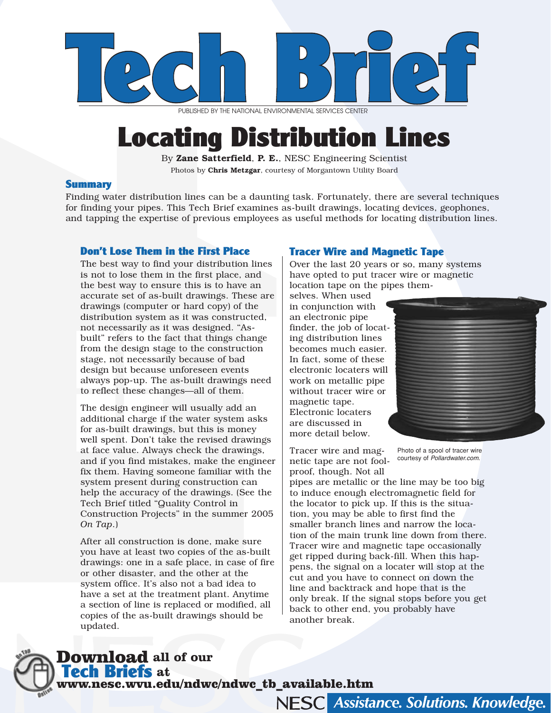

PUBLISHED BY THE NATIONAL ENVIRONMENTAL SERVICES CENTER

# Locating Distribution Lines

By Zane Satterfield, P. E., NESC Engineering Scientist Photos by Chris Metzgar, courtesy of Morgantown Utility Board

#### Summary

Finding water distribution lines can be a daunting task. Fortunately, there are several techniques for finding your pipes. This Tech Brief examines as-built drawings, locating devices, geophones, and tapping the expertise of previous employees as useful methods for locating distribution lines.

### Don't Lose Them in the First Place

The best way to find your distribution lines is not to lose them in the first place, and the best way to ensure this is to have an accurate set of as-built drawings. These are drawings (computer or hard copy) of the distribution system as it was constructed, not necessarily as it was designed. "Asbuilt" refers to the fact that things change from the design stage to the construction stage, not necessarily because of bad design but because unforeseen events always pop-up. The as-built drawings need to reflect these changes—all of them.

The design engineer will usually add an additional charge if the water system asks for as-built drawings, but this is money well spent. Don't take the revised drawings at face value. Always check the drawings, and if you find mistakes, make the engineer fix them. Having someone familiar with the system present during construction can help the accuracy of the drawings. (See the Tech Brief titled "Quality Control in Construction Projects" in the summer 2005 *On Tap*.)

After all construction is done, make sure you have at least two copies of the as-built drawings: one in a safe place, in case of fire or other disaster, and the other at the system office. It's also not a bad idea to have a set at the treatment plant. Anytime a section of line is replaced or modified, all copies of the as-built drawings should be updated.

# Tracer Wire and Magnetic Tape

Over the last 20 years or so, many systems have opted to put tracer wire or magnetic location tape on the pipes them-

selves. When used in conjunction with an electronic pipe finder, the job of locating distribution lines becomes much easier. In fact, some of these electronic locaters will work on metallic pipe without tracer wire or magnetic tape. Electronic locaters are discussed in more detail below.



Tracer wire and magnetic tape are not foolproof, though. Not all

Photo of a spool of tracer wire courtesy of *Pollardwater.com*.

Assistance. Solutions. Knowledge.

pipes are metallic or the line may be too big to induce enough electromagnetic field for the locator to pick up. If this is the situation, you may be able to first find the smaller branch lines and narrow the location of the main trunk line down from there. Tracer wire and magnetic tape occasionally get ripped during back-fill. When this happens, the signal on a locater will stop at the cut and you have to connect on down the line and backtrack and hope that is the only break. If the signal stops before you get back to other end, you probably have another break.

Download **all of our**  Tech Briefs **at** 

www.nesc.wvu.edu/ndwc/ndwc\_tb\_available.htm

**NESCI**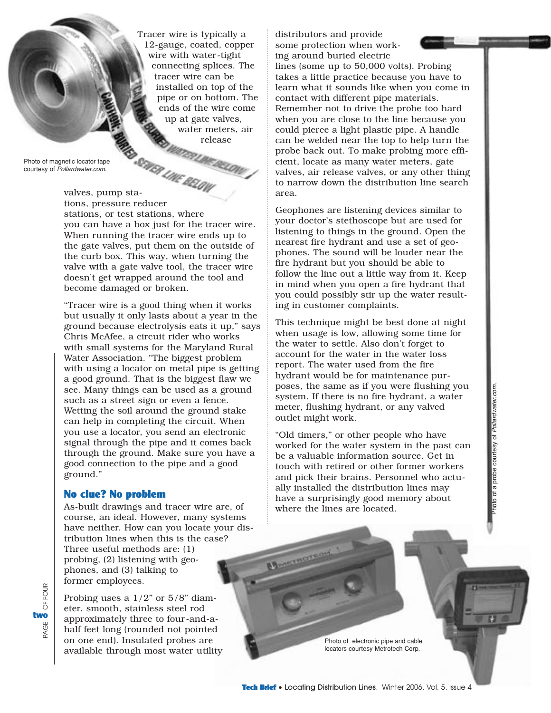Tracer wire is typically a 12-gauge, coated, copper wire with water-tight connecting splices. The tracer wire can be installed on top of the pipe or on bottom. The ends of the wire come up at gate valves, water meters, air release<br>*WATERLINE BELOW* 

Photo of magnetic locator tape courtesy of *Pollardwater.com*.

valves, pump sta-<br>valves, pump stations, pressure reducer stations, or test stations, where you can have a box just for the tracer wire. When running the tracer wire ends up to the gate valves, put them on the outside of the curb box. This way, when turning the valve with a gate valve tool, the tracer wire doesn't get wrapped around the tool and become damaged or broken.

"Tracer wire is a good thing when it works but usually it only lasts about a year in the ground because electrolysis eats it up," says Chris McAfee, a circuit rider who works with small systems for the Maryland Rural Water Association. "The biggest problem with using a locator on metal pipe is getting a good ground. That is the biggest flaw we see. Many things can be used as a ground such as a street sign or even a fence. Wetting the soil around the ground stake can help in completing the circuit. When you use a locator, you send an electronic signal through the pipe and it comes back through the ground. Make sure you have a good connection to the pipe and a good ground."

### No clue? No problem

As-built drawings and tracer wire are, of course, an ideal. However, many systems have neither. How can you locate your distribution lines when this is the case? Three useful methods are: (1) probing, (2) listening with geophones, and (3) talking to former employees.

Probing uses a  $1/2$ " or  $5/8$ " diameter, smooth, stainless steel rod approximately three to four-and-ahalf feet long (rounded not pointed on one end). Insulated probes are available through most water utility distributors and provide some protection when working around buried electric

lines (some up to 50,000 volts). Probing takes a little practice because you have to learn what it sounds like when you come in contact with different pipe materials. Remember not to drive the probe too hard when you are close to the line because you could pierce a light plastic pipe. A handle can be welded near the top to help turn the probe back out. To make probing more efficient, locate as many water meters, gate valves, air release valves, or any other thing to narrow down the distribution line search area.

Geophones are listening devices similar to your doctor's stethoscope but are used for listening to things in the ground. Open the nearest fire hydrant and use a set of geophones. The sound will be louder near the fire hydrant but you should be able to follow the line out a little way from it. Keep in mind when you open a fire hydrant that you could possibly stir up the water resulting in customer complaints.

This technique might be best done at night when usage is low, allowing some time for the water to settle. Also don't forget to account for the water in the water loss report. The water used from the fire hydrant would be for maintenance purposes, the same as if you were flushing you system. If there is no fire hydrant, a water meter, flushing hydrant, or any valved outlet might work.

"Old timers," or other people who have worked for the water system in the past can be a valuable information source. Get in touch with retired or other former workers and pick their brains. Personnel who actually installed the distribution lines may have a surprisingly good memory about where the lines are located.

Photo of a probe courtesy of *Pollardwater.com*.oto of a probe courtesy of Pollardwater.

Photo of electronic pipe and cable locators courtesy Metrotech Corp.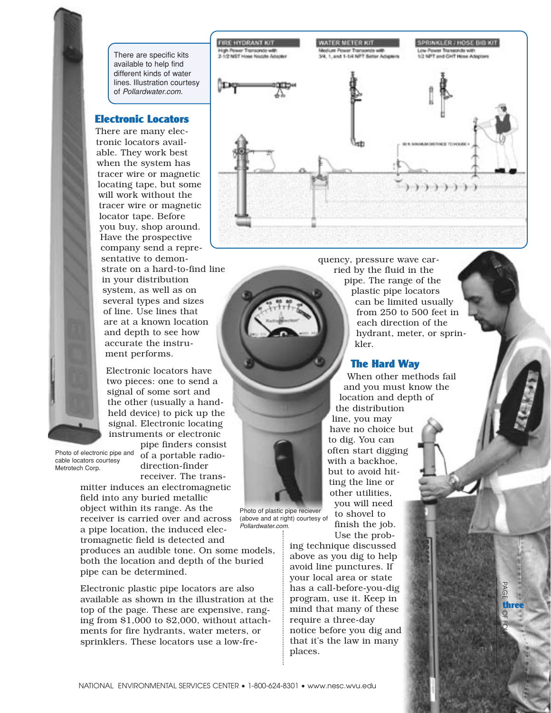There are specific kits available to help find different kinds of water lines. Illustration courtesy of *Pollardwater.com*.

**FIRE HYDRANT KIT** 

High Power Transondo with<br>2-1/2 NST Howe Nozzle Adapte

# Electronic Locators

There are many electronic locators available. They work best when the system has tracer wire or magnetic locating tape, but some will work without the tracer wire or magnetic locator tape. Before you buy, shop around. Have the prospective company send a representative to demonstrate on a hard-to-find line in your distribution system, as well as on several types and sizes of line. Use lines that

are at a known location and depth to see how accurate the instrument performs.

Electronic locators have two pieces: one to send a signal of some sort and the other (usually a handheld device) to pick up the signal. Electronic locating instruments or electronic

Photo of electronic pipe and cable locators courtesy Metrotech Corp.

pipe finders consist of a portable radiodirection-finder receiver. The trans-

mitter induces an electromagnetic field into any buried metallic object within its range. As the receiver is carried over and across a pipe location, the induced electromagnetic field is detected and produces an audible tone. On some models, both the location and depth of the buried pipe can be determined. *Pollardwater.com*.

Electronic plastic pipe locators are also available as shown in the illustration at the top of the page. These are expensive, ranging from \$1,000 to \$2,000, without attachments for fire hydrants, water meters, or sprinklers. These locators use a low-frequency, pressure wave carried by the fluid in the pipe. The range of the plastic pipe locators can be limited usually from 250 to 500 feet in each direction of the hydrant, meter, or sprin-

# The Hard Way

kler.

**WATER METER KIT** 

SIL 1, and 1, Liz MPT Remor Advertising

When other methods fail and you must know the location and depth of the distribution line, you may

have no choice but to dig. You can often start digging with a backhoe, but to avoid hitting the line or other utilities, you will need to shovel to finish the job.

Use the probing technique discussed above as you dig to help avoid line punctures. If your local area or state has a call-before-you-dig program, use it. Keep in mind that many of these require a three-day notice before you dig and that it's the law in many places.

Photo of plastic pipe reciever (above and at right) courtesy of





SPRINKLER / HOSE BIB KIT

Low Power Transonds with<br>1/2 NPT and CHT Hose Adoptors

**MINCHAER TO HOURS** 

 $\mathbb {Z}$  $\Omega$ 

 $\rm \Omega$ **three**<br>O<sub>H</sub><br>O<sub>H</sub><br>S